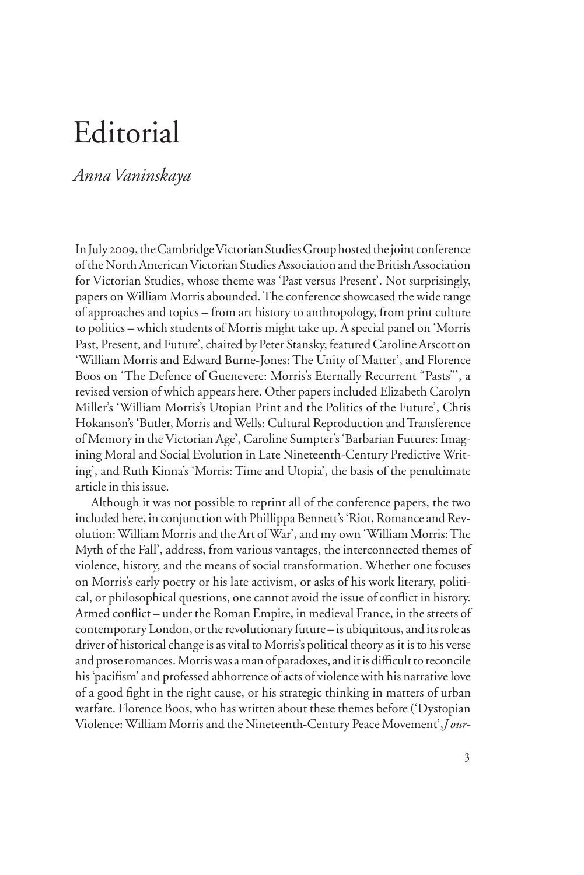## Editorial

## *Anna Vaninskaya*

In July 2009, the Cambridge Victorian Studies Group hosted the joint conference of the North American Victorian Studies Association and the British Association for Victorian Studies, whose theme was 'Past versus Present'. Not surprisingly, papers on William Morris abounded. The conference showcased the wide range of approaches and topics – from art history to anthropology, from print culture to politics – which students of Morris might take up. A special panel on 'Morris Past, Present, and Future', chaired by Peter Stansky, featured Caroline Arscott on 'William Morris and Edward Burne-Jones: The Unity of Matter', and Florence Boos on 'The Defence of Guenevere: Morris's Eternally Recurrent "Pasts"', a revised version of which appears here. Other papers included Elizabeth Carolyn Miller's 'William Morris's Utopian Print and the Politics of the Future', Chris Hokanson's 'Butler, Morris and Wells: Cultural Reproduction and Transference of Memory in the Victorian Age', Caroline Sumpter's 'Barbarian Futures: Imagining Moral and Social Evolution in Late Nineteenth-Century Predictive Writing', and Ruth Kinna's 'Morris: Time and Utopia', the basis of the penultimate article in this issue.

Although it was not possible to reprint all of the conference papers, the two included here, in conjunction with Phillippa Bennett's 'Riot, Romance and Revolution: William Morris and the Art of War', and my own 'William Morris: The Myth of the Fall', address, from various vantages, the interconnected themes of violence, history, and the means of social transformation. Whether one focuses on Morris's early poetry or his late activism, or asks of his work literary, political, or philosophical questions, one cannot avoid the issue of conflict in history. Armed conflict – under the Roman Empire, in medieval France, in the streets of contemporary London, or the revolutionary future – is ubiquitous, and its role as driver of historical change is as vital to Morris's political theory as it is to his verse and prose romances. Morris was a man of paradoxes, and it is difficult to reconcile his 'pacifism' and professed abhorrence of acts of violence with his narrative love of a good fight in the right cause, or his strategic thinking in matters of urban warfare. Florence Boos, who has written about these themes before ('Dystopian Violence: William Morris and the Nineteenth-Century Peace Movement',*J our-*